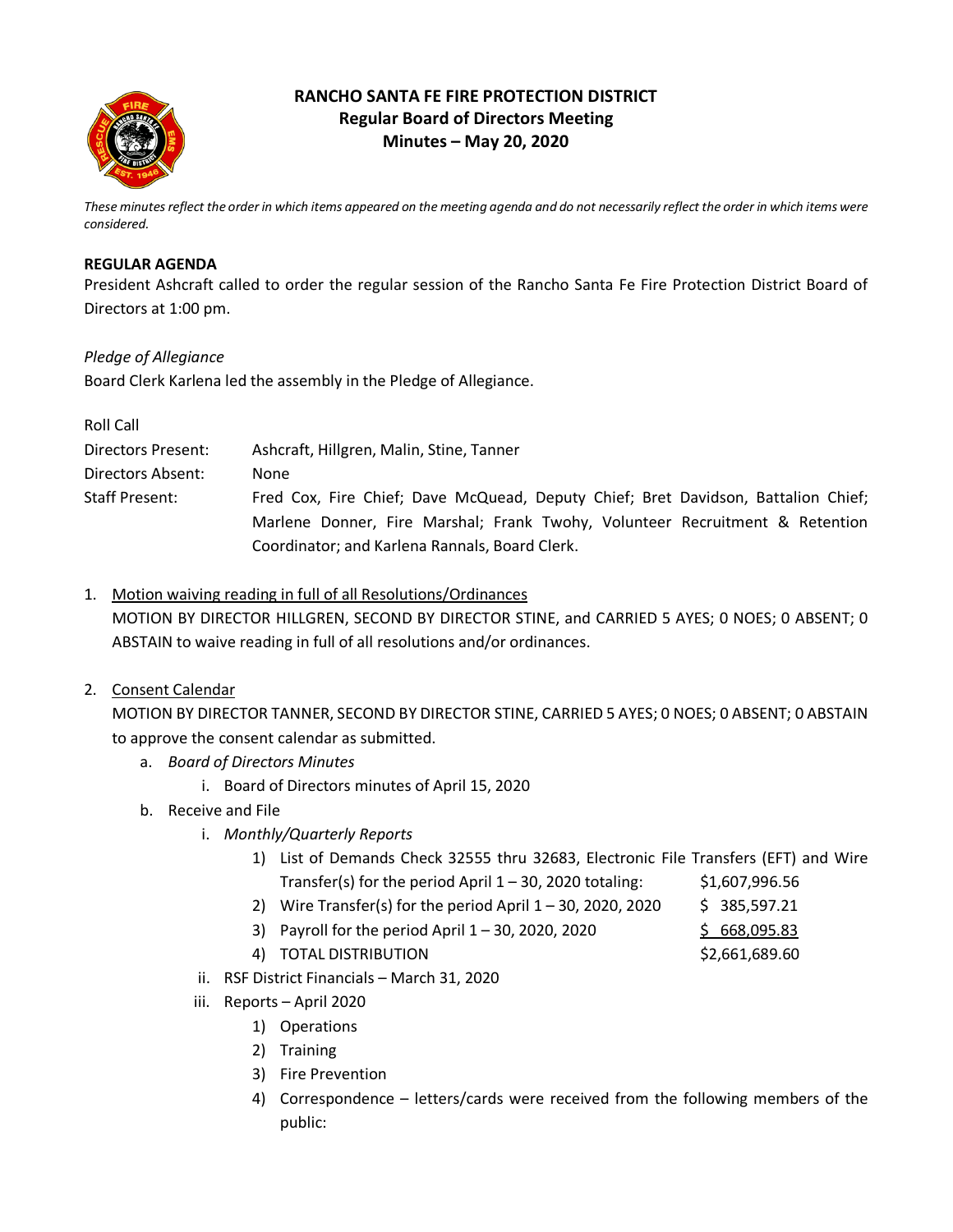

# **RANCHO SANTA FE FIRE PROTECTION DISTRICT Regular Board of Directors Meeting Minutes – May 20, 2020**

*These minutes reflect the order in which items appeared on the meeting agenda and do not necessarily reflect the order in which items were considered.*

## **REGULAR AGENDA**

President Ashcraft called to order the regular session of the Rancho Santa Fe Fire Protection District Board of Directors at 1:00 pm.

## *Pledge of Allegiance*

Board Clerk Karlena led the assembly in the Pledge of Allegiance.

| Ashcraft, Hillgren, Malin, Stine, Tanner<br>Directors Present:                                                                 |  |
|--------------------------------------------------------------------------------------------------------------------------------|--|
| Directors Absent:<br>None                                                                                                      |  |
| Fred Cox, Fire Chief; Dave McQuead, Deputy Chief; Bret Davidson, Battalion Chief;<br><b>Staff Present:</b>                     |  |
|                                                                                                                                |  |
| Marlene Donner, Fire Marshal; Frank Twohy, Volunteer Recruitment & Retention<br>Coordinator; and Karlena Rannals, Board Clerk. |  |

1. Motion waiving reading in full of all Resolutions/Ordinances MOTION BY DIRECTOR HILLGREN, SECOND BY DIRECTOR STINE, and CARRIED 5 AYES; 0 NOES; 0 ABSENT; 0 ABSTAIN to waive reading in full of all resolutions and/or ordinances.

# 2. Consent Calendar

MOTION BY DIRECTOR TANNER, SECOND BY DIRECTOR STINE, CARRIED 5 AYES; 0 NOES; 0 ABSENT; 0 ABSTAIN to approve the consent calendar as submitted.

- a. *Board of Directors Minutes*
	- i. Board of Directors minutes of April 15, 2020
- b. Receive and File
	- i. *Monthly/Quarterly Reports*
		- 1) List of Demands Check 32555 thru 32683, Electronic File Transfers (EFT) and Wire Transfer(s) for the period April  $1 - 30$ , 2020 totaling: \$1,607,996.56
		- 2) Wire Transfer(s) for the period April  $1 30$ , 2020, 2020  $\lessgtr$  385, 597.21
		- 3) Payroll for the period April  $1 30$ , 2020, 2020  $\frac{\$}{\$}$  668,095.83
			-
		- 4) TOTAL DISTRIBUTION \$2,661,689.60
- - ii. RSF District Financials March 31, 2020
	- iii. Reports April 2020
		- 1) Operations
		- 2) Training
		- 3) Fire Prevention
		- 4) Correspondence letters/cards were received from the following members of the public: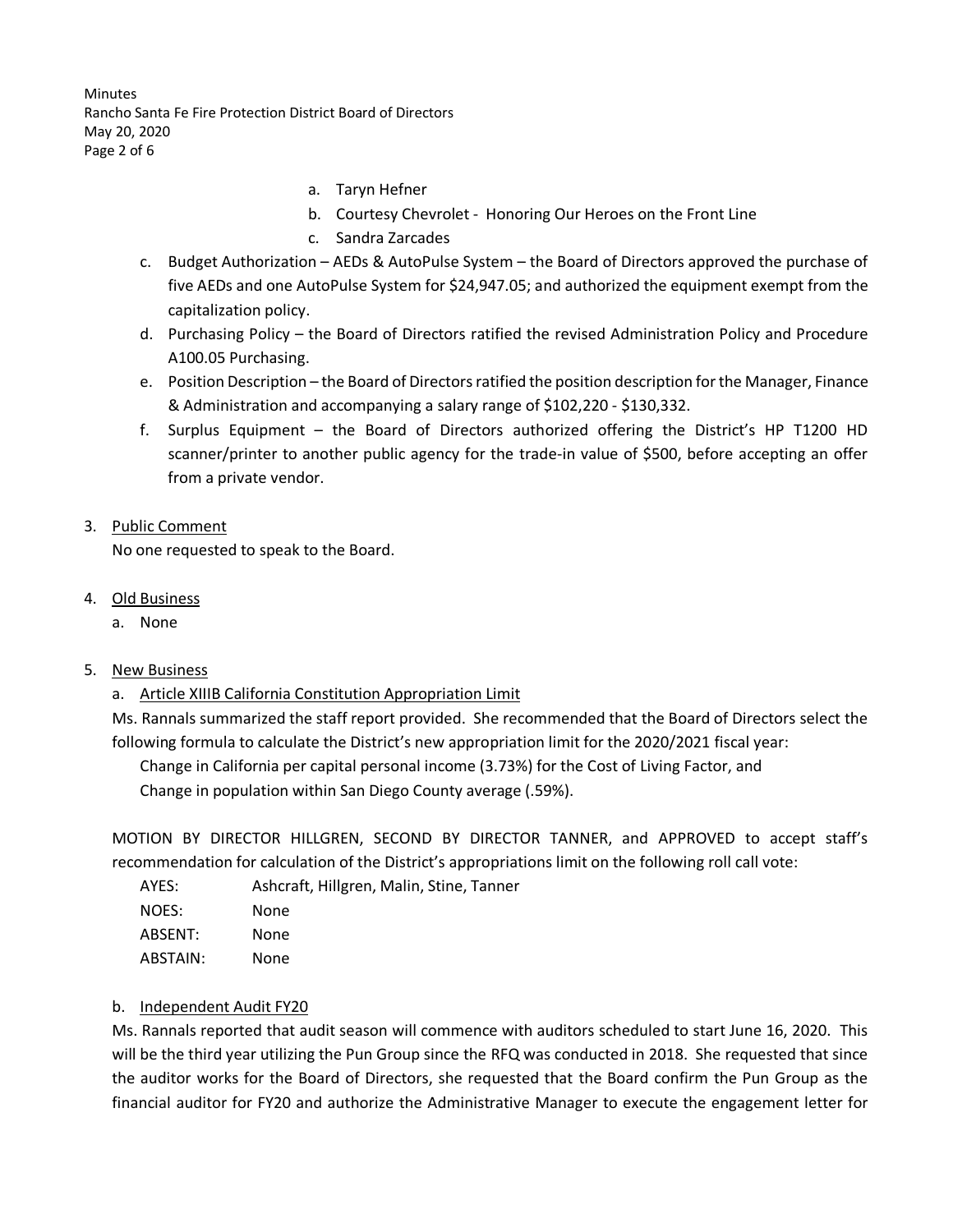**Minutes** Rancho Santa Fe Fire Protection District Board of Directors May 20, 2020 Page 2 of 6

- a. Taryn Hefner
- b. Courtesy Chevrolet Honoring Our Heroes on the Front Line
- c. Sandra Zarcades
- c. Budget Authorization AEDs & AutoPulse System the Board of Directors approved the purchase of five AEDs and one AutoPulse System for \$24,947.05; and authorized the equipment exempt from the capitalization policy.
- d. Purchasing Policy the Board of Directors ratified the revised Administration Policy and Procedure A100.05 Purchasing.
- e. Position Description the Board of Directors ratified the position description for the Manager, Finance & Administration and accompanying a salary range of \$102,220 - \$130,332.
- f. Surplus Equipment the Board of Directors authorized offering the District's HP T1200 HD scanner/printer to another public agency for the trade-in value of \$500, before accepting an offer from a private vendor.
- 3. Public Comment

No one requested to speak to the Board.

- 4. Old Business
	- a. None

## 5. New Business

a. Article XIIIB California Constitution Appropriation Limit

Ms. Rannals summarized the staff report provided. She recommended that the Board of Directors select the following formula to calculate the District's new appropriation limit for the 2020/2021 fiscal year:

Change in California per capital personal income (3.73%) for the Cost of Living Factor, and Change in population within San Diego County average (.59%).

MOTION BY DIRECTOR HILLGREN, SECOND BY DIRECTOR TANNER, and APPROVED to accept staff's recommendation for calculation of the District's appropriations limit on the following roll call vote:

| AYES:    | Ashcraft, Hillgren, Malin, Stine, Tanner |
|----------|------------------------------------------|
| NOES:    | None                                     |
| ABSENT:  | None                                     |
| ABSTAIN: | None                                     |

#### b. Independent Audit FY20

Ms. Rannals reported that audit season will commence with auditors scheduled to start June 16, 2020. This will be the third year utilizing the Pun Group since the RFQ was conducted in 2018. She requested that since the auditor works for the Board of Directors, she requested that the Board confirm the Pun Group as the financial auditor for FY20 and authorize the Administrative Manager to execute the engagement letter for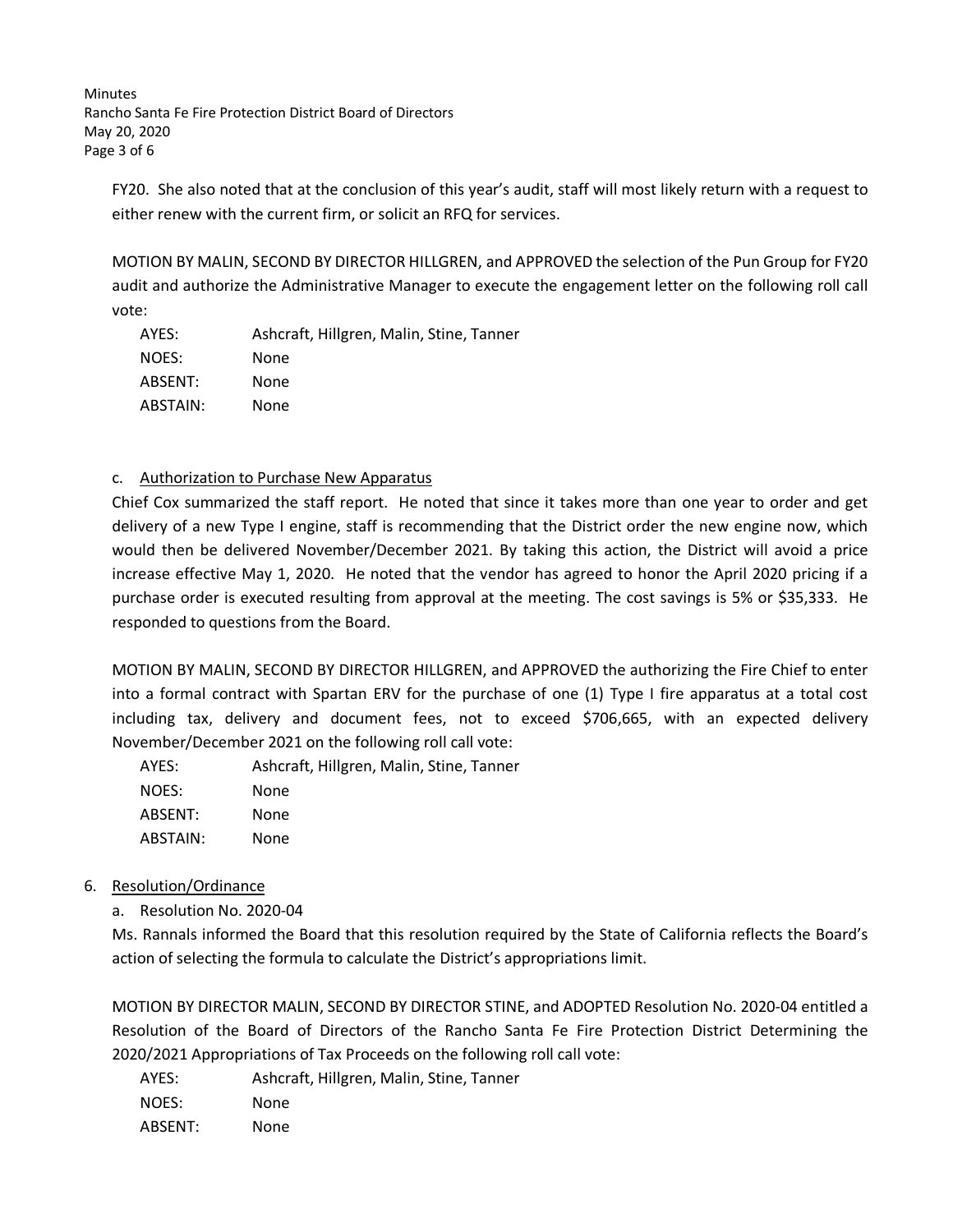**Minutes** Rancho Santa Fe Fire Protection District Board of Directors May 20, 2020 Page 3 of 6

FY20. She also noted that at the conclusion of this year's audit, staff will most likely return with a request to either renew with the current firm, or solicit an RFQ for services.

MOTION BY MALIN, SECOND BY DIRECTOR HILLGREN, and APPROVED the selection of the Pun Group for FY20 audit and authorize the Administrative Manager to execute the engagement letter on the following roll call vote:

| AYES:    | Ashcraft, Hillgren, Malin, Stine, Tanner |
|----------|------------------------------------------|
| NOES:    | None                                     |
| ABSENT:  | None                                     |
| ABSTAIN: | None                                     |

## c. Authorization to Purchase New Apparatus

Chief Cox summarized the staff report. He noted that since it takes more than one year to order and get delivery of a new Type I engine, staff is recommending that the District order the new engine now, which would then be delivered November/December 2021. By taking this action, the District will avoid a price increase effective May 1, 2020. He noted that the vendor has agreed to honor the April 2020 pricing if a purchase order is executed resulting from approval at the meeting. The cost savings is 5% or \$35,333. He responded to questions from the Board.

MOTION BY MALIN, SECOND BY DIRECTOR HILLGREN, and APPROVED the authorizing the Fire Chief to enter into a formal contract with Spartan ERV for the purchase of one (1) Type I fire apparatus at a total cost including tax, delivery and document fees, not to exceed \$706,665, with an expected delivery November/December 2021 on the following roll call vote:

AYES: Ashcraft, Hillgren, Malin, Stine, Tanner NOES: None ABSENT: None ABSTAIN: None

- 6. Resolution/Ordinance
	- a. Resolution No. 2020-04

Ms. Rannals informed the Board that this resolution required by the State of California reflects the Board's action of selecting the formula to calculate the District's appropriations limit.

MOTION BY DIRECTOR MALIN, SECOND BY DIRECTOR STINE, and ADOPTED Resolution No. 2020-04 entitled a Resolution of the Board of Directors of the Rancho Santa Fe Fire Protection District Determining the 2020/2021 Appropriations of Tax Proceeds on the following roll call vote:

| AYES:   | Ashcraft, Hillgren, Malin, Stine, Tanner |
|---------|------------------------------------------|
| NOES:   | None                                     |
| ABSENT: | None                                     |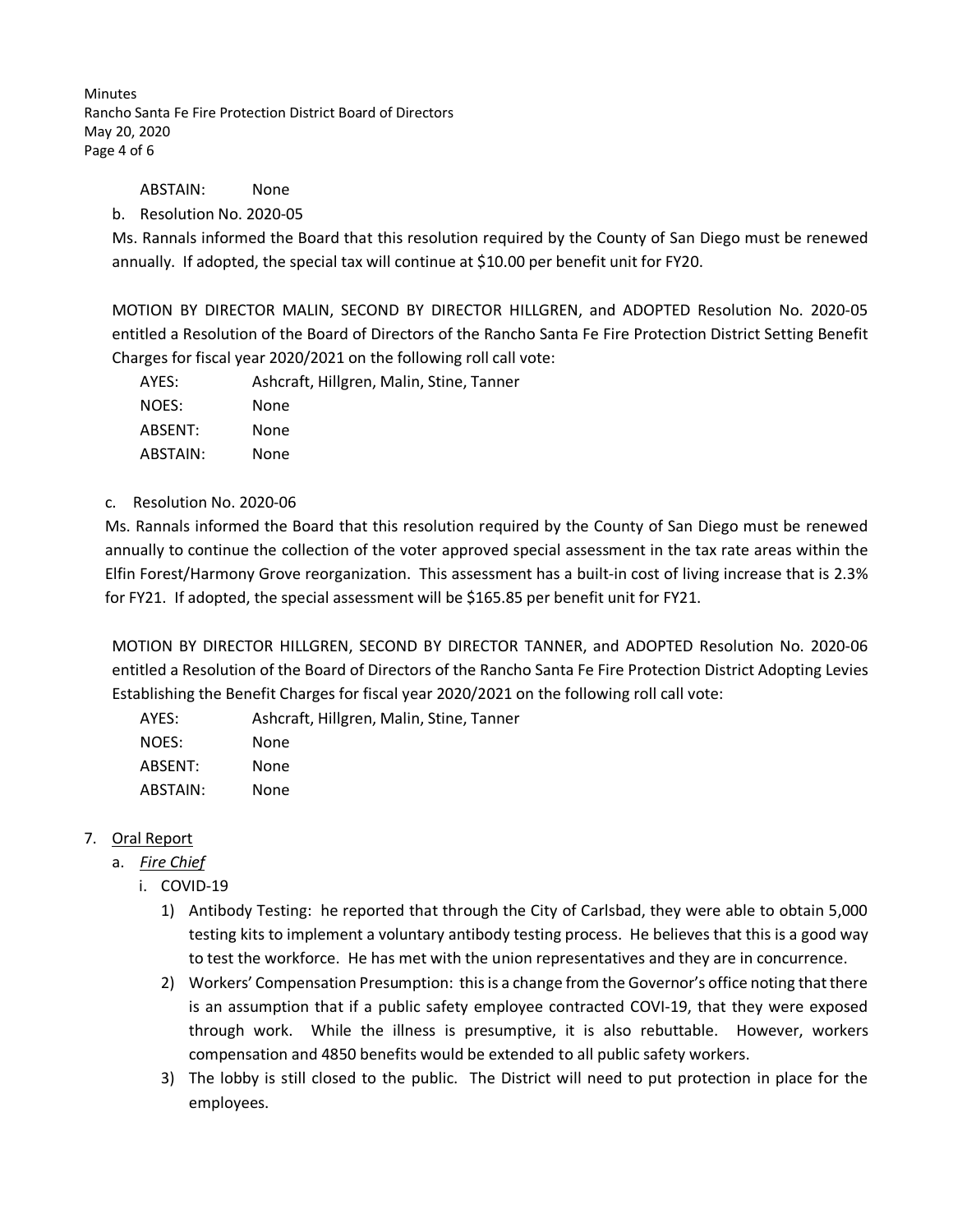**Minutes** Rancho Santa Fe Fire Protection District Board of Directors May 20, 2020 Page 4 of 6

ABSTAIN: None

## b. Resolution No. 2020-05

Ms. Rannals informed the Board that this resolution required by the County of San Diego must be renewed annually. If adopted, the special tax will continue at \$10.00 per benefit unit for FY20.

MOTION BY DIRECTOR MALIN, SECOND BY DIRECTOR HILLGREN, and ADOPTED Resolution No. 2020-05 entitled a Resolution of the Board of Directors of the Rancho Santa Fe Fire Protection District Setting Benefit Charges for fiscal year 2020/2021 on the following roll call vote:

| AYES:    | Ashcraft, Hillgren, Malin, Stine, Tanner |
|----------|------------------------------------------|
| NOES:    | None                                     |
| ABSENT:  | None                                     |
| ABSTAIN: | None                                     |

#### c. Resolution No. 2020-06

Ms. Rannals informed the Board that this resolution required by the County of San Diego must be renewed annually to continue the collection of the voter approved special assessment in the tax rate areas within the Elfin Forest/Harmony Grove reorganization. This assessment has a built-in cost of living increase that is 2.3% for FY21. If adopted, the special assessment will be \$165.85 per benefit unit for FY21.

MOTION BY DIRECTOR HILLGREN, SECOND BY DIRECTOR TANNER, and ADOPTED Resolution No. 2020-06 entitled a Resolution of the Board of Directors of the Rancho Santa Fe Fire Protection District Adopting Levies Establishing the Benefit Charges for fiscal year 2020/2021 on the following roll call vote:

| Ashcraft, Hillgren, Malin, Stine, Tanner |
|------------------------------------------|
| None                                     |
| None                                     |
| None                                     |
|                                          |

# 7. Oral Report

- a. *Fire Chief*
	- i. COVID-19
		- 1) Antibody Testing: he reported that through the City of Carlsbad, they were able to obtain 5,000 testing kits to implement a voluntary antibody testing process. He believes that this is a good way to test the workforce. He has met with the union representatives and they are in concurrence.
		- 2) Workers' Compensation Presumption: this is a change from the Governor's office noting that there is an assumption that if a public safety employee contracted COVI-19, that they were exposed through work. While the illness is presumptive, it is also rebuttable. However, workers compensation and 4850 benefits would be extended to all public safety workers.
		- 3) The lobby is still closed to the public. The District will need to put protection in place for the employees.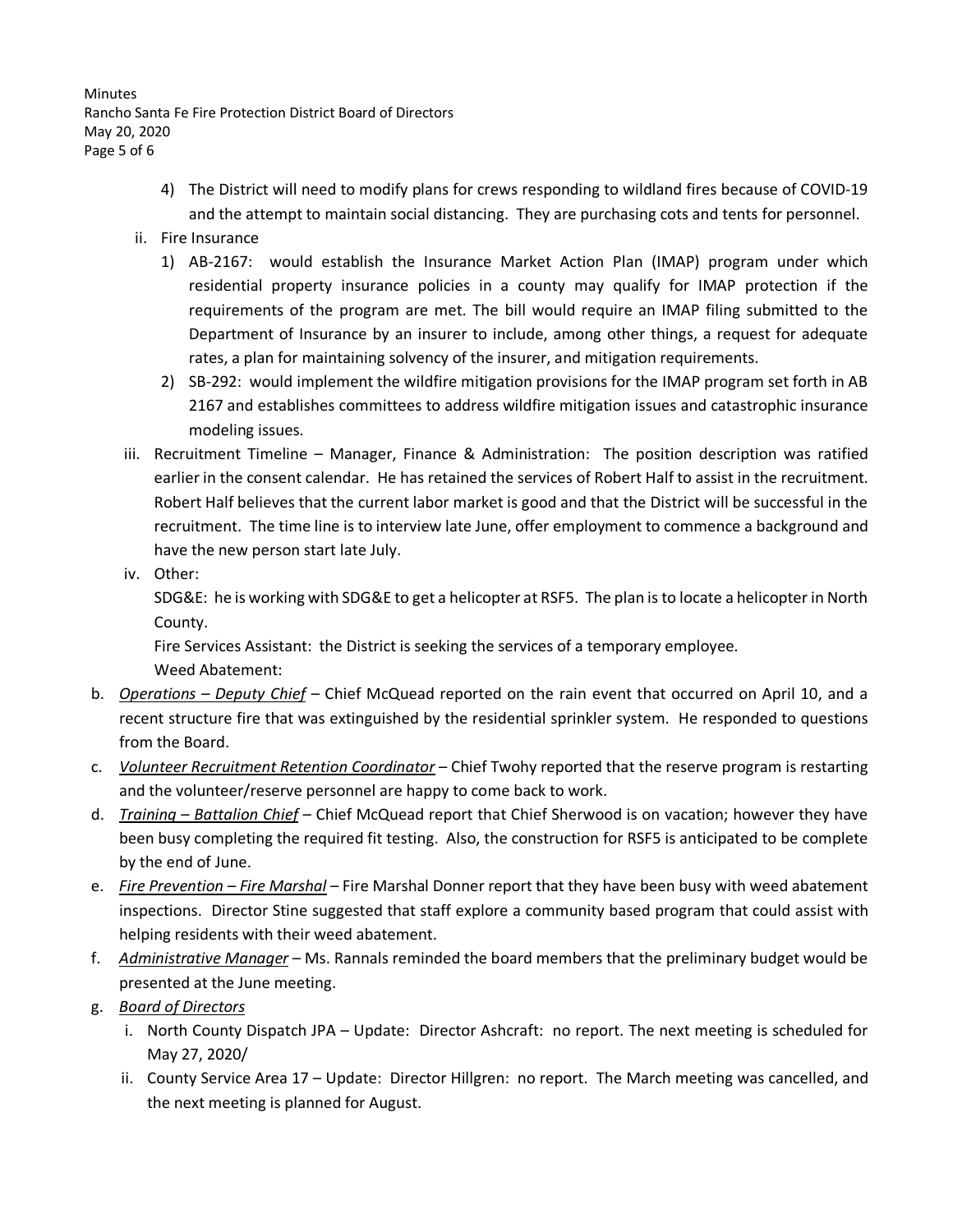**Minutes** Rancho Santa Fe Fire Protection District Board of Directors May 20, 2020 Page 5 of 6

- 4) The District will need to modify plans for crews responding to wildland fires because of COVID-19 and the attempt to maintain social distancing. They are purchasing cots and tents for personnel.
- ii. Fire Insurance
	- 1) AB-2167: would establish the Insurance Market Action Plan (IMAP) program under which residential property insurance policies in a county may qualify for IMAP protection if the requirements of the program are met. The bill would require an IMAP filing submitted to the Department of Insurance by an insurer to include, among other things, a request for adequate rates, a plan for maintaining solvency of the insurer, and mitigation requirements.
	- 2) SB-292: would implement the wildfire mitigation provisions for the IMAP program set forth in AB 2167 and establishes committees to address wildfire mitigation issues and catastrophic insurance modeling issues.
- iii. Recruitment Timeline Manager, Finance & Administration: The position description was ratified earlier in the consent calendar. He has retained the services of Robert Half to assist in the recruitment. Robert Half believes that the current labor market is good and that the District will be successful in the recruitment. The time line is to interview late June, offer employment to commence a background and have the new person start late July.
- iv. Other:

SDG&E: he is working with SDG&E to get a helicopter at RSF5. The plan is to locate a helicopter in North County.

Fire Services Assistant: the District is seeking the services of a temporary employee.

Weed Abatement:

- b. *Operations – Deputy Chief –* Chief McQuead reported on the rain event that occurred on April 10, and a recent structure fire that was extinguished by the residential sprinkler system. He responded to questions from the Board.
- c. *Volunteer Recruitment Retention Coordinator* Chief Twohy reported that the reserve program is restarting and the volunteer/reserve personnel are happy to come back to work.
- d. *Training Battalion Chief* Chief McQuead report that Chief Sherwood is on vacation; however they have been busy completing the required fit testing. Also, the construction for RSF5 is anticipated to be complete by the end of June.
- e. *Fire Prevention – Fire Marshal* Fire Marshal Donner report that they have been busy with weed abatement inspections. Director Stine suggested that staff explore a community based program that could assist with helping residents with their weed abatement.
- f. *Administrative Manager* Ms. Rannals reminded the board members that the preliminary budget would be presented at the June meeting.
- g. *Board of Directors*
	- i. North County Dispatch JPA Update: Director Ashcraft: no report. The next meeting is scheduled for May 27, 2020/
	- ii. County Service Area 17 Update: Director Hillgren: no report. The March meeting was cancelled, and the next meeting is planned for August.